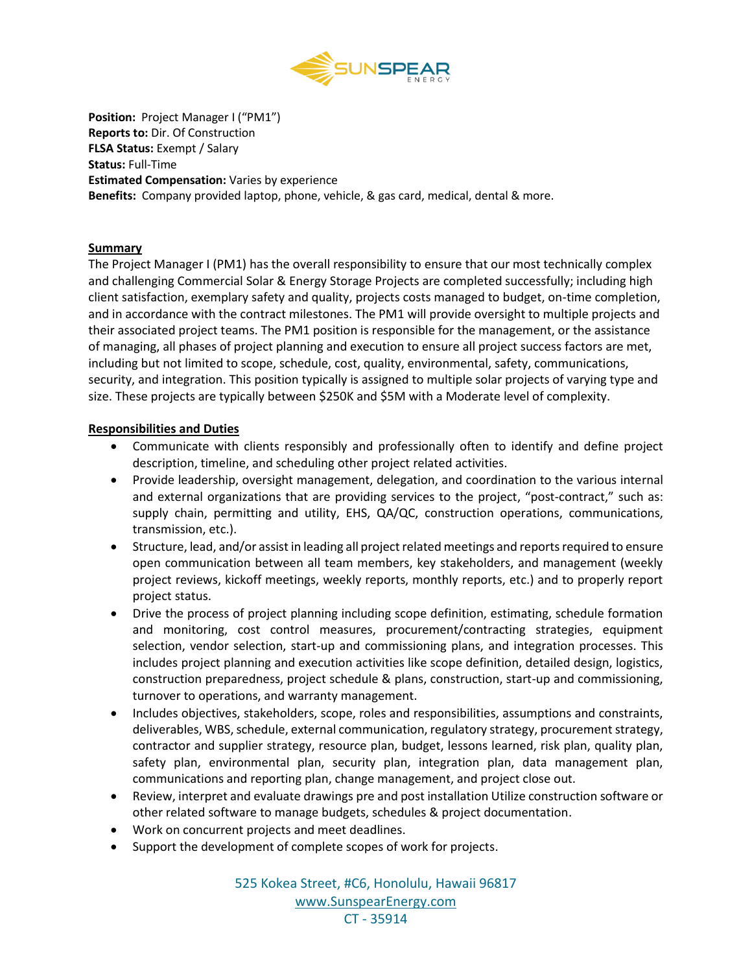

**Position:** Project Manager I ("PM1") **Reports to:** Dir. Of Construction **FLSA Status:** Exempt / Salary **Status:** Full-Time **Estimated Compensation:** Varies by experience **Benefits:** Company provided laptop, phone, vehicle, & gas card, medical, dental & more.

### **Summary**

The Project Manager I (PM1) has the overall responsibility to ensure that our most technically complex and challenging Commercial Solar & Energy Storage Projects are completed successfully; including high client satisfaction, exemplary safety and quality, projects costs managed to budget, on-time completion, and in accordance with the contract milestones. The PM1 will provide oversight to multiple projects and their associated project teams. The PM1 position is responsible for the management, or the assistance of managing, all phases of project planning and execution to ensure all project success factors are met, including but not limited to scope, schedule, cost, quality, environmental, safety, communications, security, and integration. This position typically is assigned to multiple solar projects of varying type and size. These projects are typically between \$250K and \$5M with a Moderate level of complexity.

### **Responsibilities and Duties**

- Communicate with clients responsibly and professionally often to identify and define project description, timeline, and scheduling other project related activities.
- Provide leadership, oversight management, delegation, and coordination to the various internal and external organizations that are providing services to the project, "post-contract," such as: supply chain, permitting and utility, EHS, QA/QC, construction operations, communications, transmission, etc.).
- Structure, lead, and/or assist in leading all project related meetings and reports required to ensure open communication between all team members, key stakeholders, and management (weekly project reviews, kickoff meetings, weekly reports, monthly reports, etc.) and to properly report project status.
- Drive the process of project planning including scope definition, estimating, schedule formation and monitoring, cost control measures, procurement/contracting strategies, equipment selection, vendor selection, start-up and commissioning plans, and integration processes. This includes project planning and execution activities like scope definition, detailed design, logistics, construction preparedness, project schedule & plans, construction, start-up and commissioning, turnover to operations, and warranty management.
- Includes objectives, stakeholders, scope, roles and responsibilities, assumptions and constraints, deliverables, WBS, schedule, external communication, regulatory strategy, procurement strategy, contractor and supplier strategy, resource plan, budget, lessons learned, risk plan, quality plan, safety plan, environmental plan, security plan, integration plan, data management plan, communications and reporting plan, change management, and project close out.
- Review, interpret and evaluate drawings pre and post installation Utilize construction software or other related software to manage budgets, schedules & project documentation.
- Work on concurrent projects and meet deadlines.
- Support the development of complete scopes of work for projects.

525 Kokea Street, #C6, Honolulu, Hawaii 96817 [www.SunspearEnergy.com](http://www.sunspearenergy.com/)

CT - 35914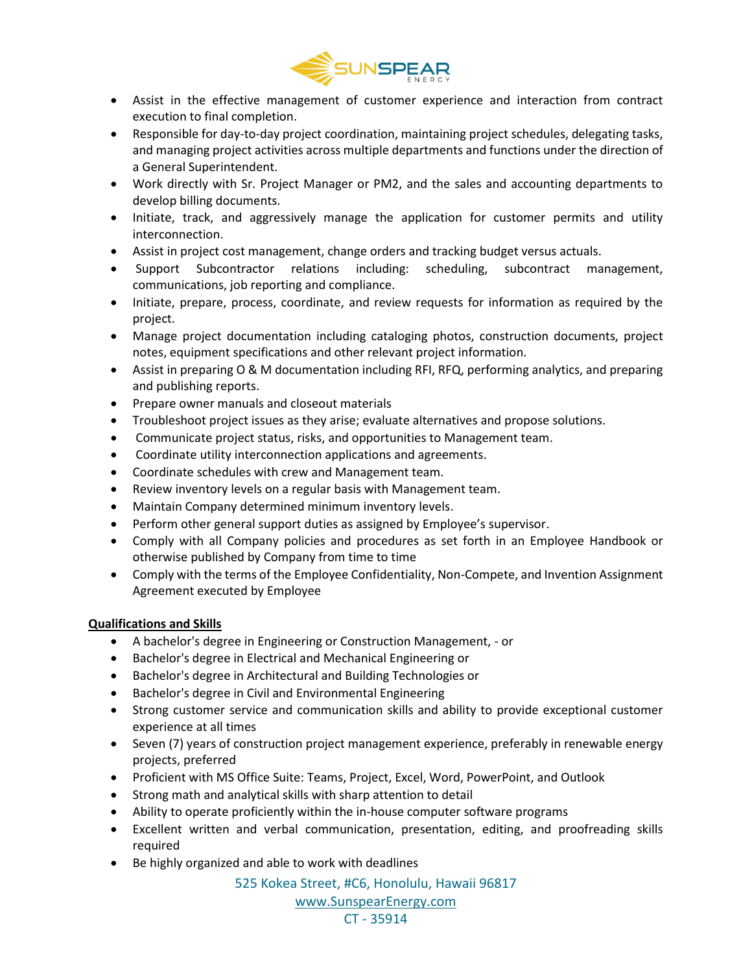

- Assist in the effective management of customer experience and interaction from contract execution to final completion.
- Responsible for day-to-day project coordination, maintaining project schedules, delegating tasks, and managing project activities across multiple departments and functions under the direction of a General Superintendent.
- Work directly with Sr. Project Manager or PM2, and the sales and accounting departments to develop billing documents.
- Initiate, track, and aggressively manage the application for customer permits and utility interconnection.
- Assist in project cost management, change orders and tracking budget versus actuals.
- Support Subcontractor relations including: scheduling, subcontract management, communications, job reporting and compliance.
- Initiate, prepare, process, coordinate, and review requests for information as required by the project.
- Manage project documentation including cataloging photos, construction documents, project notes, equipment specifications and other relevant project information.
- Assist in preparing O & M documentation including RFI, RFQ, performing analytics, and preparing and publishing reports.
- Prepare owner manuals and closeout materials
- Troubleshoot project issues as they arise; evaluate alternatives and propose solutions.
- Communicate project status, risks, and opportunities to Management team.
- Coordinate utility interconnection applications and agreements.
- Coordinate schedules with crew and Management team.
- Review inventory levels on a regular basis with Management team.
- Maintain Company determined minimum inventory levels.
- Perform other general support duties as assigned by Employee's supervisor.
- Comply with all Company policies and procedures as set forth in an Employee Handbook or otherwise published by Company from time to time
- Comply with the terms of the Employee Confidentiality, Non-Compete, and Invention Assignment Agreement executed by Employee

### **Qualifications and Skills**

- A bachelor's degree in Engineering or Construction Management, or
- Bachelor's degree in Electrical and Mechanical Engineering or
- Bachelor's degree in Architectural and Building Technologies or
- Bachelor's degree in Civil and Environmental Engineering
- Strong customer service and communication skills and ability to provide exceptional customer experience at all times
- Seven (7) years of construction project management experience, preferably in renewable energy projects, preferred
- Proficient with MS Office Suite: Teams, Project, Excel, Word, PowerPoint, and Outlook
- Strong math and analytical skills with sharp attention to detail
- Ability to operate proficiently within the in-house computer software programs
- Excellent written and verbal communication, presentation, editing, and proofreading skills required
- Be highly organized and able to work with deadlines

525 Kokea Street, #C6, Honolulu, Hawaii 96817

[www.SunspearEnergy.com](http://www.sunspearenergy.com/)